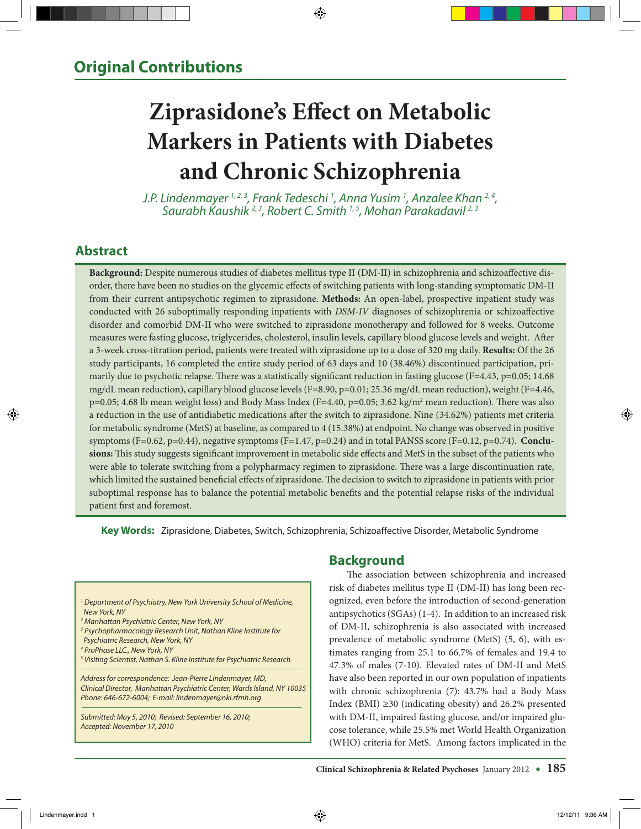# **Ziprasidone's Effect on Metabolic Markers in Patients with Diabetes and Chronic Schizophrenia**

*J.P. Lindenmayer 1, 2, 3, Frank Tedeschi 1 , Anna Yusim 1* Saurabh Kaushik <sup>2, 3</sup>, Robert C. Smith <sup>1, 5</sup>, Mohan Parakadavil <sup>2, 3</sup>

# **Abstract**

**Background:** Despite numerous studies of diabetes mellitus type II (DM-II) in schizophrenia and schizoaffective disorder, there have been no studies on the glycemic effects of switching patients with long-standing symptomatic DM-II from their current antipsychotic regimen to ziprasidone. **Methods:** An open-label, prospective inpatient study was conducted with 26 suboptimally responding inpatients with *DSM-IV* diagnoses of schizophrenia or schizoaffective disorder and comorbid DM-II who were switched to ziprasidone monotherapy and followed for 8 weeks. Outcome measures were fasting glucose, triglycerides, cholesterol, insulin levels, capillary blood glucose levels and weight. After a 3-week cross-titration period, patients were treated with ziprasidone up to a dose of 320 mg daily. **Results:** Of the 26 study participants, 16 completed the entire study period of 63 days and 10 (38.46%) discontinued participation, primarily due to psychotic relapse. There was a statistically significant reduction in fasting glucose (F=4.43, p=0.05; 14.68 mg/dL mean reduction), capillary blood glucose levels (F=8.90, p=0.01; 25.36 mg/dL mean reduction), weight (F=4.46, p=0.05; 4.68 lb mean weight loss) and Body Mass Index (F=4.40, p=0.05; 3.62 kg/m2 mean reduction). There was also a reduction in the use of antidiabetic medications after the switch to ziprasidone. Nine (34.62%) patients met criteria for metabolic syndrome (MetS) at baseline, as compared to 4 (15.38%) at endpoint. No change was observed in positive symptoms (F=0.62, p=0.44), negative symptoms (F=1.47, p=0.24) and in total PANSS score (F=0.12, p=0.74). **Conclusions:** This study suggests significant improvement in metabolic side effects and MetS in the subset of the patients who were able to tolerate switching from a polypharmacy regimen to ziprasidone. There was a large discontinuation rate, which limited the sustained beneficial effects of ziprasidone. The decision to switch to ziprasidone in patients with prior suboptimal response has to balance the potential metabolic benefits and the potential relapse risks of the individual patient first and foremost.

**Key Words:** Ziprasidone, Diabetes, Switch, Schizophrenia, Schizoaffective Disorder, Metabolic Syndrome



## **Background**

The association between schizophrenia and increased risk of diabetes mellitus type II (DM-II) has long been recognized, even before the introduction of second-generation antipsychotics (SGAs) (1-4). In addition to an increased risk of DM-II, schizophrenia is also associated with increased prevalence of metabolic syndrome (MetS) (5, 6), with estimates ranging from 25.1 to 66.7% of females and 19.4 to 47.3% of males (7-10). Elevated rates of DM-II and MetS have also been reported in our own population of inpatients with chronic schizophrenia (7): 43.7% had a Body Mass Index (BMI)  $\geq$ 30 (indicating obesity) and 26.2% presented with DM-II, impaired fasting glucose, and/or impaired glucose tolerance, while 25.5% met World Health Organization (WHO) criteria for MetS. Among factors implicated in the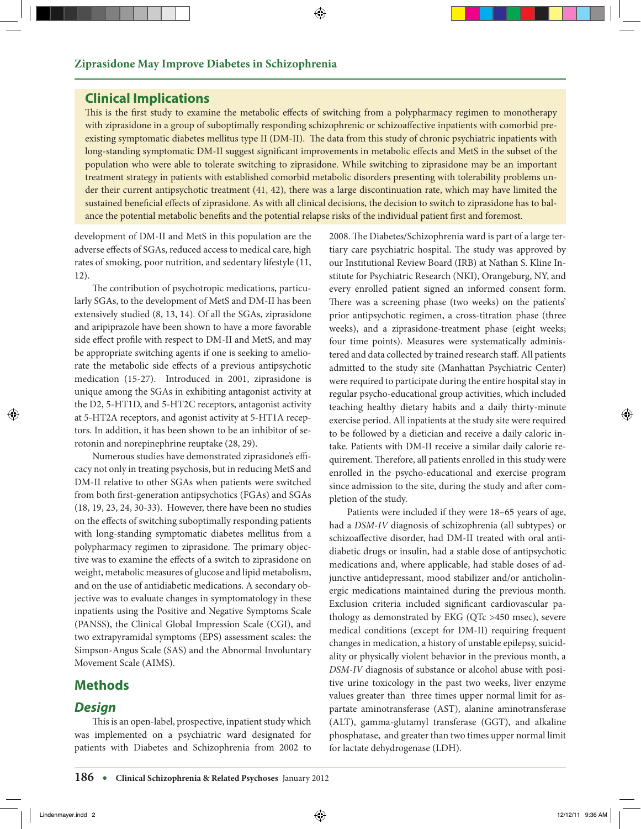## **Clinical Implications**

This is the first study to examine the metabolic effects of switching from a polypharmacy regimen to monotherapy with ziprasidone in a group of suboptimally responding schizophrenic or schizoaffective inpatients with comorbid preexisting symptomatic diabetes mellitus type II (DM-II). The data from this study of chronic psychiatric inpatients with long-standing symptomatic DM-II suggest significant improvements in metabolic effects and MetS in the subset of the population who were able to tolerate switching to ziprasidone. While switching to ziprasidone may be an important treatment strategy in patients with established comorbid metabolic disorders presenting with tolerability problems under their current antipsychotic treatment (41, 42), there was a large discontinuation rate, which may have limited the sustained beneficial effects of ziprasidone. As with all clinical decisions, the decision to switch to ziprasidone has to balance the potential metabolic benefits and the potential relapse risks of the individual patient first and foremost.

development of DM-II and MetS in this population are the adverse effects of SGAs, reduced access to medical care, high rates of smoking, poor nutrition, and sedentary lifestyle (11, 12).

The contribution of psychotropic medications, particularly SGAs, to the development of MetS and DM-II has been extensively studied (8, 13, 14). Of all the SGAs, ziprasidone and aripiprazole have been shown to have a more favorable side effect profile with respect to DM-II and MetS, and may be appropriate switching agents if one is seeking to ameliorate the metabolic side effects of a previous antipsychotic medication (15-27). Introduced in 2001, ziprasidone is unique among the SGAs in exhibiting antagonist activity at the D2, 5-HT1D, and 5-HT2C receptors, antagonist activity at 5-HT2A receptors, and agonist activity at 5-HT1A receptors. In addition, it has been shown to be an inhibitor of serotonin and norepinephrine reuptake (28, 29).

 Numerous studies have demonstrated ziprasidone's efficacy not only in treating psychosis, but in reducing MetS and DM-II relative to other SGAs when patients were switched from both first-generation antipsychotics (FGAs) and SGAs (18, 19, 23, 24, 30-33). However, there have been no studies on the effects of switching suboptimally responding patients with long-standing symptomatic diabetes mellitus from a polypharmacy regimen to ziprasidone. The primary objective was to examine the effects of a switch to ziprasidone on weight, metabolic measures of glucose and lipid metabolism, and on the use of antidiabetic medications. A secondary objective was to evaluate changes in symptomatology in these inpatients using the Positive and Negative Symptoms Scale (PANSS), the Clinical Global Impression Scale (CGI), and two extrapyramidal symptoms (EPS) assessment scales: the Simpson-Angus Scale (SAS) and the Abnormal Involuntary Movement Scale (AIMS).

## **Methods**

## *Design*

This is an open-label, prospective, inpatient study which was implemented on a psychiatric ward designated for patients with Diabetes and Schizophrenia from 2002 to 2008. The Diabetes/Schizophrenia ward is part of a large tertiary care psychiatric hospital. The study was approved by our Institutional Review Board (IRB) at Nathan S. Kline Institute for Psychiatric Research (NKI), Orangeburg, NY, and every enrolled patient signed an informed consent form. There was a screening phase (two weeks) on the patients' prior antipsychotic regimen, a cross-titration phase (three weeks), and a ziprasidone-treatment phase (eight weeks; four time points). Measures were systematically administered and data collected by trained research staff. All patients admitted to the study site (Manhattan Psychiatric Center) were required to participate during the entire hospital stay in regular psycho-educational group activities, which included teaching healthy dietary habits and a daily thirty-minute exercise period. All inpatients at the study site were required to be followed by a dietician and receive a daily caloric intake. Patients with DM-II receive a similar daily calorie requirement. Therefore, all patients enrolled in this study were enrolled in the psycho-educational and exercise program since admission to the site, during the study and after completion of the study.

Patients were included if they were 18–65 years of age, had a *DSM-IV* diagnosis of schizophrenia (all subtypes) or schizoaffective disorder, had DM-II treated with oral antidiabetic drugs or insulin, had a stable dose of antipsychotic medications and, where applicable, had stable doses of adjunctive antidepressant, mood stabilizer and/or anticholinergic medications maintained during the previous month. Exclusion criteria included significant cardiovascular pathology as demonstrated by EKG (QTc >450 msec), severe medical conditions (except for DM-II) requiring frequent changes in medication, a history of unstable epilepsy, suicidality or physically violent behavior in the previous month, a *DSM-IV* diagnosis of substance or alcohol abuse with positive urine toxicology in the past two weeks, liver enzyme values greater than three times upper normal limit for aspartate aminotransferase (AST), alanine aminotransferase (ALT), gamma-glutamyl transferase (GGT), and alkaline phosphatase, and greater than two times upper normal limit for lactate dehydrogenase (LDH).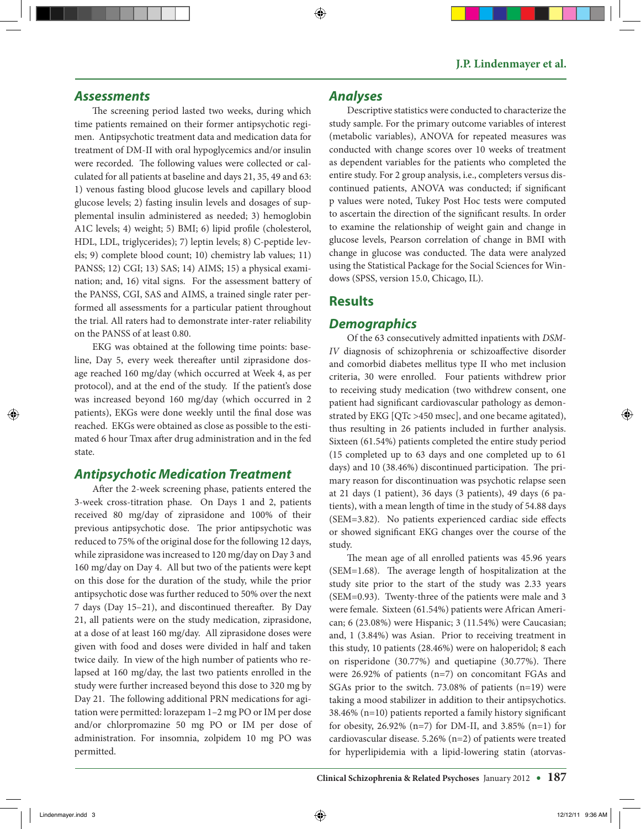#### *Assessments*

The screening period lasted two weeks, during which time patients remained on their former antipsychotic regimen. Antipsychotic treatment data and medication data for treatment of DM-II with oral hypoglycemics and/or insulin were recorded. The following values were collected or calculated for all patients at baseline and days 21, 35, 49 and 63: 1) venous fasting blood glucose levels and capillary blood glucose levels; 2) fasting insulin levels and dosages of supplemental insulin administered as needed; 3) hemoglobin A1C levels; 4) weight; 5) BMI; 6) lipid profile (cholesterol, HDL, LDL, triglycerides); 7) leptin levels; 8) C-peptide levels; 9) complete blood count; 10) chemistry lab values; 11) PANSS; 12) CGI; 13) SAS; 14) AIMS; 15) a physical examination; and, 16) vital signs. For the assessment battery of the PANSS, CGI, SAS and AIMS, a trained single rater performed all assessments for a particular patient throughout the trial. All raters had to demonstrate inter-rater reliability on the PANSS of at least 0.80.

 EKG was obtained at the following time points: baseline, Day 5, every week thereafter until ziprasidone dosage reached 160 mg/day (which occurred at Week 4, as per protocol), and at the end of the study. If the patient's dose was increased beyond 160 mg/day (which occurred in 2 patients), EKGs were done weekly until the final dose was reached. EKGs were obtained as close as possible to the estimated 6 hour Tmax after drug administration and in the fed state.

## *Antipsychotic Medication Treatment*

After the 2-week screening phase, patients entered the 3-week cross-titration phase. On Days 1 and 2, patients received 80 mg/day of ziprasidone and 100% of their previous antipsychotic dose. The prior antipsychotic was reduced to 75% of the original dose for the following 12 days, while ziprasidone was increased to 120 mg/day on Day 3 and 160 mg/day on Day 4. All but two of the patients were kept on this dose for the duration of the study, while the prior antipsychotic dose was further reduced to 50% over the next 7 days (Day 15–21), and discontinued thereafter. By Day 21, all patients were on the study medication, ziprasidone, at a dose of at least 160 mg/day. All ziprasidone doses were given with food and doses were divided in half and taken twice daily. In view of the high number of patients who relapsed at 160 mg/day, the last two patients enrolled in the study were further increased beyond this dose to 320 mg by Day 21. The following additional PRN medications for agitation were permitted: lorazepam 1–2 mg PO or IM per dose and/or chlorpromazine 50 mg PO or IM per dose of administration. For insomnia, zolpidem 10 mg PO was permitted.

#### *Analyses*

 Descriptive statistics were conducted to characterize the study sample. For the primary outcome variables of interest (metabolic variables), ANOVA for repeated measures was conducted with change scores over 10 weeks of treatment as dependent variables for the patients who completed the entire study. For 2 group analysis, i.e., completers versus discontinued patients, ANOVA was conducted; if significant p values were noted, Tukey Post Hoc tests were computed to ascertain the direction of the significant results. In order to examine the relationship of weight gain and change in glucose levels, Pearson correlation of change in BMI with change in glucose was conducted. The data were analyzed using the Statistical Package for the Social Sciences for Windows (SPSS, version 15.0, Chicago, IL).

## **Results**

## *Demographics*

 Of the 63 consecutively admitted inpatients with *DSM-IV* diagnosis of schizophrenia or schizoaffective disorder and comorbid diabetes mellitus type II who met inclusion criteria, 30 were enrolled. Four patients withdrew prior to receiving study medication (two withdrew consent, one patient had significant cardiovascular pathology as demonstrated by EKG [QTc >450 msec], and one became agitated), thus resulting in 26 patients included in further analysis. Sixteen (61.54%) patients completed the entire study period (15 completed up to 63 days and one completed up to 61 days) and 10 (38.46%) discontinued participation. The primary reason for discontinuation was psychotic relapse seen at 21 days (1 patient), 36 days (3 patients), 49 days (6 patients), with a mean length of time in the study of 54.88 days (SEM=3.82). No patients experienced cardiac side effects or showed significant EKG changes over the course of the study.

 The mean age of all enrolled patients was 45.96 years (SEM=1.68). The average length of hospitalization at the study site prior to the start of the study was 2.33 years (SEM=0.93). Twenty-three of the patients were male and 3 were female. Sixteen (61.54%) patients were African American; 6 (23.08%) were Hispanic; 3 (11.54%) were Caucasian; and, 1 (3.84%) was Asian. Prior to receiving treatment in this study, 10 patients (28.46%) were on haloperidol; 8 each on risperidone (30.77%) and quetiapine (30.77%). There were 26.92% of patients (n=7) on concomitant FGAs and SGAs prior to the switch. 73.08% of patients (n=19) were taking a mood stabilizer in addition to their antipsychotics. 38.46% (n=10) patients reported a family history significant for obesity,  $26.92\%$  (n=7) for DM-II, and  $3.85\%$  (n=1) for cardiovascular disease. 5.26% (n=2) of patients were treated for hyperlipidemia with a lipid-lowering statin (atorvas-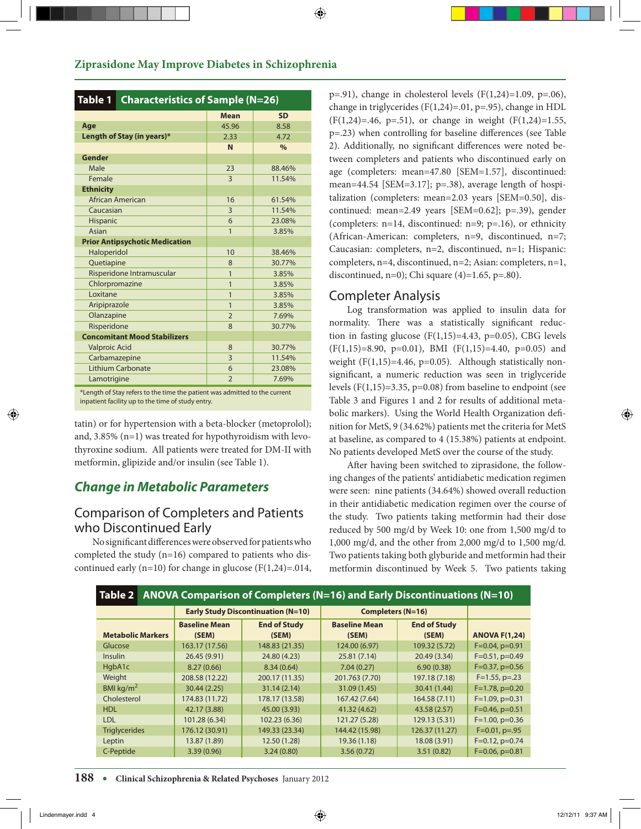| Table 1 Characteristics of Sample (N=26)                                   |                            |                |               |  |
|----------------------------------------------------------------------------|----------------------------|----------------|---------------|--|
|                                                                            |                            | <b>Mean</b>    | <b>SD</b>     |  |
| Age                                                                        |                            | 45.96          | 8.58          |  |
|                                                                            | Length of Stay (in years)* | 2.33           | 4.72          |  |
|                                                                            |                            | N              | $\frac{0}{0}$ |  |
| Gender                                                                     |                            |                |               |  |
| Male                                                                       |                            | 23             | 88.46%        |  |
| Female                                                                     |                            | $\overline{3}$ | 11.54%        |  |
| <b>Ethnicity</b>                                                           |                            |                |               |  |
|                                                                            | African American           | 16             | 61.54%        |  |
| Caucasian                                                                  |                            | $\overline{3}$ | 11.54%        |  |
| Hispanic                                                                   |                            | 6              | 23.08%        |  |
| Asian                                                                      |                            | $\overline{1}$ | 3.85%         |  |
| <b>Prior Antipsychotic Medication</b>                                      |                            |                |               |  |
| Haloperidol                                                                |                            | 10             | 38.46%        |  |
| Quetiapine                                                                 |                            | 8              | 30.77%        |  |
|                                                                            | Risperidone Intramuscular  | $\overline{1}$ | 3.85%         |  |
| Chlorpromazine                                                             |                            | $\overline{1}$ | 3.85%         |  |
| <b>Loxitane</b>                                                            |                            | $\mathbf{1}$   | 3.85%         |  |
| Aripiprazole                                                               |                            | $\mathbf{1}$   | 3.85%         |  |
| Olanzapine                                                                 |                            | $\overline{2}$ | 7.69%         |  |
| Risperidone                                                                |                            | 8              | 30.77%        |  |
| <b>Concomitant Mood Stabilizers</b>                                        |                            |                |               |  |
| <b>Valproic Acid</b>                                                       |                            | 8              | 30.77%        |  |
| Carbamazepine                                                              |                            | $\overline{3}$ | 11.54%        |  |
| Lithium Carbonate                                                          |                            | 6              | 23.08%        |  |
| Lamotrigine                                                                |                            | $\overline{2}$ | 7.69%         |  |
| *Length of Stay refers to the time the patient was admitted to the current |                            |                |               |  |

\*Length of Stay refers to the time the patient was admitted to the current inpatient facility up to the time of study entry.

tatin) or for hypertension with a beta-blocker (metoprolol); and, 3.85% (n=1) was treated for hypothyroidism with levothyroxine sodium. All patients were treated for DM-II with metformin, glipizide and/or insulin (see Table 1).

# *Change in Metabolic Parameters*

# Comparison of Completers and Patients who Discontinued Early

No significant differences were observed for patients who completed the study  $(n=16)$  compared to patients who discontinued early (n=10) for change in glucose ( $F(1,24)=0.014$ ,

 $p=0.91$ ), change in cholesterol levels (F(1,24)=1.09, p=.06), change in triglycerides (F $(1,24) = .01$ , p=.95), change in HDL  $(F(1,24)=.46, p=.51)$ , or change in weight  $(F(1,24)=1.55,$ p=.23) when controlling for baseline differences (see Table 2). Additionally, no significant differences were noted between completers and patients who discontinued early on age (completers: mean=47.80 [SEM=1.57], discontinued: mean=44.54 [SEM=3.17]; p=.38), average length of hospitalization (completers: mean=2.03 years [SEM=0.50], discontinued: mean=2.49 years [SEM=0.62]; p=.39), gender (completers: n=14, discontinued: n=9; p=.16), or ethnicity (African-American: completers, n=9, discontinued, n=7; Caucasian: completers, n=2, discontinued, n=1; Hispanic: completers, n=4, discontinued, n=2; Asian: completers, n=1, discontinued, n=0); Chi square  $(4)=1.65$ , p=.80).

## Completer Analysis

Log transformation was applied to insulin data for normality. There was a statistically significant reduction in fasting glucose  $(F(1,15)=4.43, p=0.05)$ , CBG levels  $(F(1,15)=8.90, p=0.01)$ , BMI  $(F(1,15)=4.40, p=0.05)$  and weight  $(F(1,15)=4.46, p=0.05)$ . Although statistically nonsignificant, a numeric reduction was seen in triglyceride levels (F $(1,15)=3.35$ , p=0.08) from baseline to endpoint (see Table 3 and Figures 1 and 2 for results of additional metabolic markers). Using the World Health Organization definition for MetS, 9 (34.62%) patients met the criteria for MetS at baseline, as compared to 4 (15.38%) patients at endpoint. No patients developed MetS over the course of the study.

After having been switched to ziprasidone, the following changes of the patients' antidiabetic medication regimen were seen: nine patients (34.64%) showed overall reduction in their antidiabetic medication regimen over the course of the study. Two patients taking metformin had their dose reduced by 500 mg/d by Week 10: one from 1,500 mg/d to 1,000 mg/d, and the other from 2,000 mg/d to 1,500 mg/d. Two patients taking both glyburide and metformin had their metformin discontinued by Week 5. Two patients taking

| ANOVA Comparison of Completers ( $N=16$ ) and Early Discontinuations ( $N=10$ )<br>Table 2 |                                           |                     |                          |                     |                      |
|--------------------------------------------------------------------------------------------|-------------------------------------------|---------------------|--------------------------|---------------------|----------------------|
|                                                                                            | <b>Early Study Discontinuation (N=10)</b> |                     | <b>Completers (N=16)</b> |                     |                      |
|                                                                                            | <b>Baseline Mean</b>                      | <b>End of Study</b> | <b>Baseline Mean</b>     | <b>End of Study</b> |                      |
| <b>Metabolic Markers</b>                                                                   | (SEM)                                     | (SEM)               | (SEM)                    | (SEM)               | <b>ANOVA F(1,24)</b> |
| Glucose                                                                                    | 163.17 (17.56)                            | 148.83 (21.35)      | 124.00 (6.97)            | 109.32 (5.72)       | $F=0.04$ , $p=0.91$  |
| <b>Insulin</b>                                                                             | 26.45 (9.91)                              | 24.80 (4.23)        | 25.81 (7.14)             | 20.49 (3.34)        | $F=0.51$ , $p=0.49$  |
| HgbA1c                                                                                     | 8.27(0.66)                                | 8.34(0.64)          | 7.04(0.27)               | 6.90(0.38)          | $F=0.37$ , $p=0.56$  |
| Weight                                                                                     | 208.58 (12.22)                            | 200.17 (11.35)      | 201.763 (7.70)           | 197.18 (7.18)       | $F=1.55$ , p=.23     |
| BMI kg/ $m2$                                                                               | 30.44 (2.25)                              | 31.14(2.14)         | 31.09 (1.45)             | 30.41 (1.44)        | $F=1.78$ , $p=0.20$  |
| Cholesterol                                                                                | 174.83 (11.72)                            | 178.17 (13.58)      | 167.42 (7.64)            | 164.58 (7.11)       | $F=1.09$ , $p=0.31$  |
| <b>HDL</b>                                                                                 | 42.17 (3.88)                              | 45.00 (3.93)        | 41.32 (4.62)             | 43.58 (2.57)        | $F=0.46$ , $p=0.51$  |
| LDL                                                                                        | 101.28 (6.34)                             | 102.23 (6.36)       | 121.27 (5.28)            | 129.13 (5.31)       | $F=1.00$ , $p=0.36$  |
| <b>Triglycerides</b>                                                                       | 176.12 (30.91)                            | 149.33 (23.34)      | 144.42 (15.98)           | 126.37 (11.27)      | $F=0.01$ , $p=.95$   |
| Leptin                                                                                     | 13.87 (1.89)                              | 12.50 (1.28)        | 19.36(1.18)              | 18.08 (3.91)        | $F=0.12$ , $p=0.74$  |
| C-Peptide                                                                                  | 3.39(0.96)                                | 3.24(0.80)          | 3.56(0.72)               | 3.51(0.82)          | $F=0.06$ , $p=0.81$  |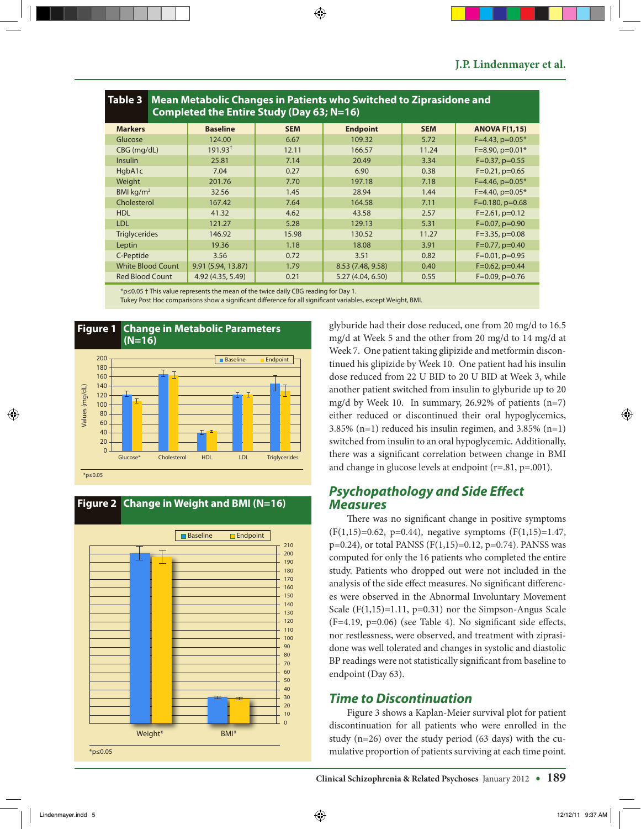| Table 3   Mean Metabolic Changes in Patients who Switched to Ziprasidone and<br>Completed the Entire Study (Day 63; N=16) |                     |            |                   |            |                         |
|---------------------------------------------------------------------------------------------------------------------------|---------------------|------------|-------------------|------------|-------------------------|
| <b>Markers</b>                                                                                                            | <b>Baseline</b>     | <b>SEM</b> | <b>Endpoint</b>   | <b>SEM</b> | <b>ANOVA F(1,15)</b>    |
| Glucose                                                                                                                   | 124.00              | 6.67       | 109.32            | 5.72       | $F=4.43$ , $p=0.05*$    |
| CBG (mg/dL)                                                                                                               | 191.93 <sup>†</sup> | 12.11      | 166.57            | 11.24      | $F=8.90$ , $p=0.01*$    |
| <b>Insulin</b>                                                                                                            | 25.81               | 7.14       | 20.49             | 3.34       | $F=0.37$ , $p=0.55$     |
| HgbA1c                                                                                                                    | 7.04                | 0.27       | 6.90              | 0.38       | $F=0.21$ , $p=0.65$     |
| Weight                                                                                                                    | 201.76              | 7.70       | 197.18            | 7.18       | $F=4.46$ , $p=0.05*$    |
| BMI $\text{kg/m}^2$                                                                                                       | 32.56               | 1.45       | 28.94             | 1.44       | $F=4.40$ , $p=0.05*$    |
| Cholesterol                                                                                                               | 167.42              | 7.64       | 164.58            | 7.11       | $F=0.180$ , $p=0.68$    |
| <b>HDL</b>                                                                                                                | 41.32               | 4.62       | 43.58             | 2.57       | $F = 2.61$ , $p = 0.12$ |
| <b>LDL</b>                                                                                                                | 121.27              | 5.28       | 129.13            | 5.31       | $F=0.07$ , $p=0.90$     |
| <b>Triglycerides</b>                                                                                                      | 146.92              | 15.98      | 130.52            | 11.27      | $F=3.35$ , $p=0.08$     |
| Leptin                                                                                                                    | 19.36               | 1.18       | 18.08             | 3.91       | $F=0.77$ , $p=0.40$     |
| C-Peptide                                                                                                                 | 3.56                | 0.72       | 3.51              | 0.82       | $F=0.01$ , $p=0.95$     |
| <b>White Blood Count</b>                                                                                                  | 9.91 (5.94, 13.87)  | 1.79       | 8.53 (7.48, 9.58) | 0.40       | $F=0.62$ , $p=0.44$     |
| <b>Red Blood Count</b>                                                                                                    | 4.92 (4.35, 5.49)   | 0.21       | 5.27 (4.04, 6.50) | 0.55       | $F=0.09$ , $p=0.76$     |

\*p≤0.05 † This value represents the mean of the twice daily CBG reading for Day 1.

Tukey Post Hoc comparisons show a significant difference for all significant variables, except Weight, BMI.





## **Figure 2 Change in Weight and BMI (N=16)**

glyburide had their dose reduced, one from 20 mg/d to 16.5 mg/d at Week 5 and the other from 20 mg/d to 14 mg/d at Week 7. One patient taking glipizide and metformin discontinued his glipizide by Week 10. One patient had his insulin dose reduced from 22 U BID to 20 U BID at Week 3, while another patient switched from insulin to glyburide up to 20 mg/d by Week 10. In summary, 26.92% of patients  $(n=7)$ either reduced or discontinued their oral hypoglycemics, 3.85%  $(n=1)$  reduced his insulin regimen, and 3.85%  $(n=1)$ switched from insulin to an oral hypoglycemic. Additionally, there was a significant correlation between change in BMI and change in glucose levels at endpoint (r=.81, p=.001).

### *Psychopathology and Side Effect Measures*

There was no significant change in positive symptoms  $(F(1,15)=0.62, p=0.44)$ , negative symptoms  $(F(1,15)=1.47,$  $p=0.24$ ), or total PANSS (F(1,15)=0.12,  $p=0.74$ ). PANSS was computed for only the 16 patients who completed the entire study. Patients who dropped out were not included in the analysis of the side effect measures. No significant differences were observed in the Abnormal Involuntary Movement Scale  $(F(1,15)=1.11, p=0.31)$  nor the Simpson-Angus Scale (F=4.19, p=0.06) (see Table 4). No significant side effects, nor restlessness, were observed, and treatment with ziprasidone was well tolerated and changes in systolic and diastolic BP readings were not statistically significant from baseline to endpoint (Day 63).

## *Time to Discontinuation*

Figure 3 shows a Kaplan-Meier survival plot for patient discontinuation for all patients who were enrolled in the study (n=26) over the study period (63 days) with the cumulative proportion of patients surviving at each time point.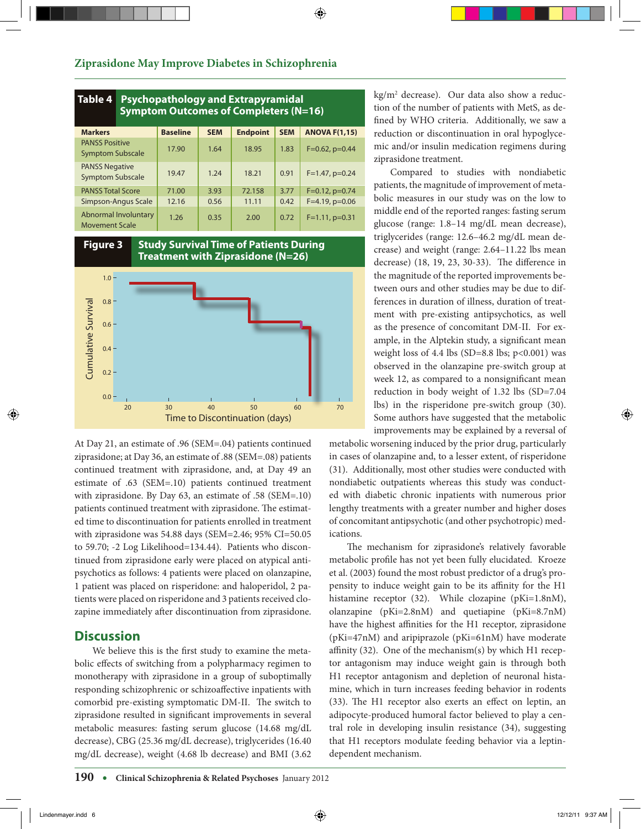| Table 4<br><b>Psychopathology and Extrapyramidal</b><br><b>Symptom Outcomes of Completers (N=16)</b> |                 |            |                 |            |                      |
|------------------------------------------------------------------------------------------------------|-----------------|------------|-----------------|------------|----------------------|
| <b>Markers</b>                                                                                       | <b>Baseline</b> | <b>SEM</b> | <b>Endpoint</b> | <b>SEM</b> | <b>ANOVA F(1,15)</b> |
| <b>PANSS Positive</b><br><b>Symptom Subscale</b>                                                     | 17.90           | 1.64       | 18.95           | 1.83       | $F=0.62$ , $p=0.44$  |
| <b>PANSS Negative</b><br><b>Symptom Subscale</b>                                                     | 19.47           | 1.24       | 18.21           | 0.91       | $F=1.47$ , $p=0.24$  |
| <b>PANSS Total Score</b>                                                                             | 71.00           | 3.93       | 72.158          | 3.77       | $F=0.12$ , $p=0.74$  |
| Simpson-Angus Scale                                                                                  | 12.16           | 0.56       | 11.11           | 0.42       | $F=4.19$ , $p=0.06$  |
| Abnormal Involuntary<br><b>Movement Scale</b>                                                        | 1.26            | 0.35       | 2.00            | 0.72       | $F=1.11$ , $p=0.31$  |



#### **Figure 3 Study Survival Time of Patients During Treatment with Ziprasidone (N=26)**



At Day 21, an estimate of .96 (SEM=.04) patients continued ziprasidone; at Day 36, an estimate of .88 (SEM=.08) patients continued treatment with ziprasidone, and, at Day 49 an estimate of .63 (SEM=.10) patients continued treatment with ziprasidone. By Day 63, an estimate of .58 (SEM=.10) patients continued treatment with ziprasidone. The estimated time to discontinuation for patients enrolled in treatment with ziprasidone was 54.88 days (SEM=2.46; 95% CI=50.05 to 59.70; -2 Log Likelihood=134.44). Patients who discontinued from ziprasidone early were placed on atypical antipsychotics as follows: 4 patients were placed on olanzapine, 1 patient was placed on risperidone: and haloperidol, 2 patients were placed on risperidone and 3 patients received clozapine immediately after discontinuation from ziprasidone.

## **Discussion**

We believe this is the first study to examine the metabolic effects of switching from a polypharmacy regimen to monotherapy with ziprasidone in a group of suboptimally responding schizophrenic or schizoaffective inpatients with comorbid pre-existing symptomatic DM-II. The switch to ziprasidone resulted in significant improvements in several metabolic measures: fasting serum glucose (14.68 mg/dL decrease), CBG (25.36 mg/dL decrease), triglycerides (16.40 mg/dL decrease), weight (4.68 lb decrease) and BMI (3.62

kg/m2 decrease). Our data also show a reduction of the number of patients with MetS, as defined by WHO criteria. Additionally, we saw a reduction or discontinuation in oral hypoglycemic and/or insulin medication regimens during ziprasidone treatment.

 Compared to studies with nondiabetic patients, the magnitude of improvement of metabolic measures in our study was on the low to middle end of the reported ranges: fasting serum glucose (range: 1.8–14 mg/dL mean decrease), triglycerides (range: 12.6–46.2 mg/dL mean decrease) and weight (range: 2.64–11.22 lbs mean decrease) (18, 19, 23, 30-33). The difference in the magnitude of the reported improvements between ours and other studies may be due to differences in duration of illness, duration of treatment with pre-existing antipsychotics, as well as the presence of concomitant DM-II. For example, in the Alptekin study, a significant mean weight loss of 4.4 lbs (SD=8.8 lbs;  $p<0.001$ ) was observed in the olanzapine pre-switch group at week 12, as compared to a nonsignificant mean reduction in body weight of 1.32 lbs (SD=7.04 lbs) in the risperidone pre-switch group (30). Some authors have suggested that the metabolic improvements may be explained by a reversal of

metabolic worsening induced by the prior drug, particularly in cases of olanzapine and, to a lesser extent, of risperidone (31). Additionally, most other studies were conducted with nondiabetic outpatients whereas this study was conducted with diabetic chronic inpatients with numerous prior lengthy treatments with a greater number and higher doses of concomitant antipsychotic (and other psychotropic) medications.

The mechanism for ziprasidone's relatively favorable metabolic profile has not yet been fully elucidated. Kroeze et al. (2003) found the most robust predictor of a drug's propensity to induce weight gain to be its affinity for the H1 histamine receptor (32). While clozapine (pKi=1.8nM), olanzapine (pKi=2.8nM) and quetiapine (pKi=8.7nM) have the highest affinities for the H1 receptor, ziprasidone (pKi=47nM) and aripiprazole (pKi=61nM) have moderate affinity (32). One of the mechanism(s) by which H1 receptor antagonism may induce weight gain is through both H1 receptor antagonism and depletion of neuronal histamine, which in turn increases feeding behavior in rodents (33). The H1 receptor also exerts an effect on leptin, an adipocyte-produced humoral factor believed to play a central role in developing insulin resistance (34), suggesting that H1 receptors modulate feeding behavior via a leptindependent mechanism.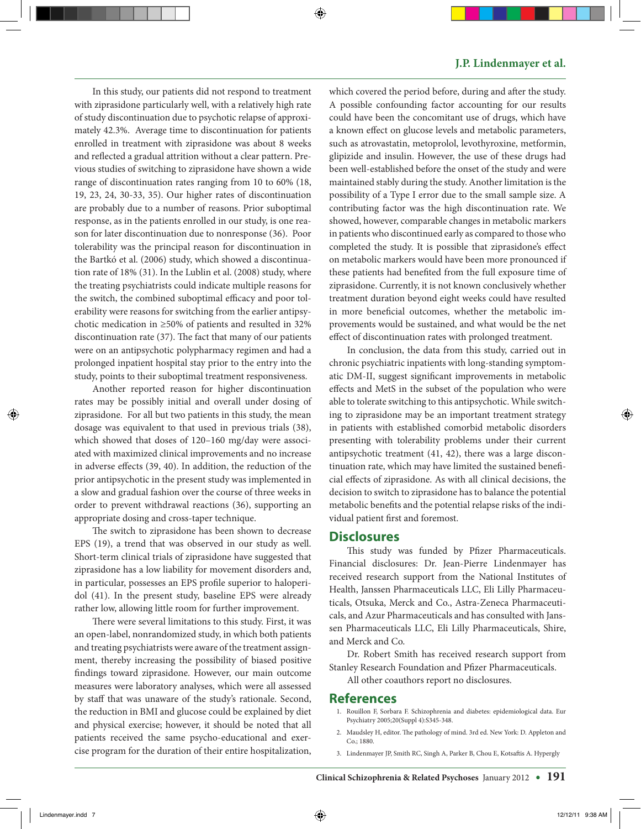In this study, our patients did not respond to treatment with ziprasidone particularly well, with a relatively high rate of study discontinuation due to psychotic relapse of approximately 42.3%. Average time to discontinuation for patients enrolled in treatment with ziprasidone was about 8 weeks and reflected a gradual attrition without a clear pattern. Previous studies of switching to ziprasidone have shown a wide range of discontinuation rates ranging from 10 to 60% (18, 19, 23, 24, 30-33, 35). Our higher rates of discontinuation are probably due to a number of reasons. Prior suboptimal response, as in the patients enrolled in our study, is one reason for later discontinuation due to nonresponse (36). Poor tolerability was the principal reason for discontinuation in the Bartkó et al. (2006) study, which showed a discontinuation rate of 18% (31). In the Lublin et al. (2008) study, where the treating psychiatrists could indicate multiple reasons for the switch, the combined suboptimal efficacy and poor tolerability were reasons for switching from the earlier antipsychotic medication in ≥50% of patients and resulted in 32% discontinuation rate (37). The fact that many of our patients were on an antipsychotic polypharmacy regimen and had a prolonged inpatient hospital stay prior to the entry into the study, points to their suboptimal treatment responsiveness.

Another reported reason for higher discontinuation rates may be possibly initial and overall under dosing of ziprasidone. For all but two patients in this study, the mean dosage was equivalent to that used in previous trials (38), which showed that doses of 120–160 mg/day were associated with maximized clinical improvements and no increase in adverse effects (39, 40). In addition, the reduction of the prior antipsychotic in the present study was implemented in a slow and gradual fashion over the course of three weeks in order to prevent withdrawal reactions (36), supporting an appropriate dosing and cross-taper technique.

The switch to ziprasidone has been shown to decrease EPS (19), a trend that was observed in our study as well. Short-term clinical trials of ziprasidone have suggested that ziprasidone has a low liability for movement disorders and, in particular, possesses an EPS profile superior to haloperidol (41). In the present study, baseline EPS were already rather low, allowing little room for further improvement.

There were several limitations to this study. First, it was an open-label, nonrandomized study, in which both patients and treating psychiatrists were aware of the treatment assignment, thereby increasing the possibility of biased positive findings toward ziprasidone. However, our main outcome measures were laboratory analyses, which were all assessed by staff that was unaware of the study's rationale. Second, the reduction in BMI and glucose could be explained by diet and physical exercise; however, it should be noted that all patients received the same psycho-educational and exercise program for the duration of their entire hospitalization, which covered the period before, during and after the study. A possible confounding factor accounting for our results could have been the concomitant use of drugs, which have a known effect on glucose levels and metabolic parameters, such as atrovastatin, metoprolol, levothyroxine, metformin, glipizide and insulin. However, the use of these drugs had been well-established before the onset of the study and were maintained stably during the study. Another limitation is the possibility of a Type I error due to the small sample size. A contributing factor was the high discontinuation rate. We showed, however, comparable changes in metabolic markers in patients who discontinued early as compared to those who completed the study. It is possible that ziprasidone's effect on metabolic markers would have been more pronounced if these patients had benefited from the full exposure time of ziprasidone. Currently, it is not known conclusively whether treatment duration beyond eight weeks could have resulted in more beneficial outcomes, whether the metabolic improvements would be sustained, and what would be the net effect of discontinuation rates with prolonged treatment.

In conclusion, the data from this study, carried out in chronic psychiatric inpatients with long-standing symptomatic DM-II, suggest significant improvements in metabolic effects and MetS in the subset of the population who were able to tolerate switching to this antipsychotic. While switching to ziprasidone may be an important treatment strategy in patients with established comorbid metabolic disorders presenting with tolerability problems under their current antipsychotic treatment (41, 42), there was a large discontinuation rate, which may have limited the sustained beneficial effects of ziprasidone. As with all clinical decisions, the decision to switch to ziprasidone has to balance the potential metabolic benefits and the potential relapse risks of the individual patient first and foremost.

#### **Disclosures**

This study was funded by Pfizer Pharmaceuticals. Financial disclosures: Dr. Jean-Pierre Lindenmayer has received research support from the National Institutes of Health, Janssen Pharmaceuticals LLC, Eli Lilly Pharmaceuticals, Otsuka, Merck and Co., Astra-Zeneca Pharmaceuticals, and Azur Pharmaceuticals and has consulted with Janssen Pharmaceuticals LLC, Eli Lilly Pharmaceuticals, Shire, and Merck and Co.

Dr. Robert Smith has received research support from Stanley Research Foundation and Pfizer Pharmaceuticals.

All other coauthors report no disclosures.

#### **References**

- 1. Rouillon F, Sorbara F. Schizophrenia and diabetes: epidemiological data. Eur Psychiatry 2005;20(Suppl 4):S345-348.
- 2. Maudsley H, editor. The pathology of mind. 3rd ed. New York: D. Appleton and Co.; 1880.
- 3. Lindenmayer JP, Smith RC, Singh A, Parker B, Chou E, Kotsaftis A. Hypergly